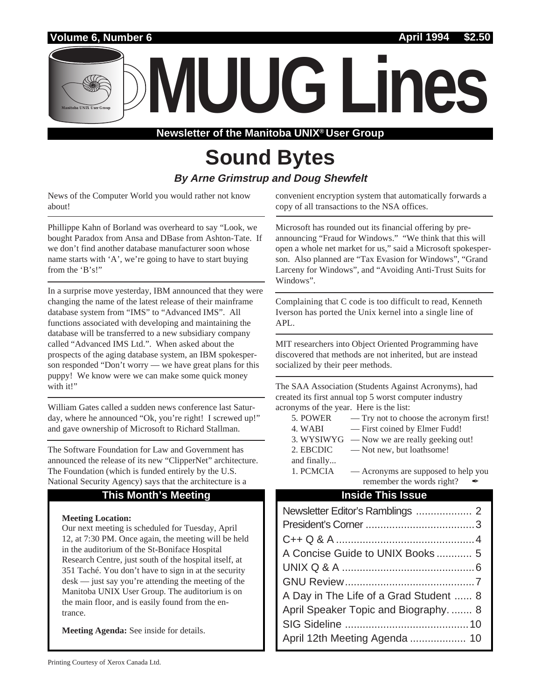#### **Volume 6, Number 6**



**Newsletter of the Manitoba UNIX® User Group**

# **Sound Bytes**

#### **By Arne Grimstrup and Doug Shewfelt**

News of the Computer World you would rather not know about!

Phillippe Kahn of Borland was overheard to say "Look, we bought Paradox from Ansa and DBase from Ashton-Tate. If we don't find another database manufacturer soon whose name starts with 'A', we're going to have to start buying from the 'B's!"

In a surprise move yesterday, IBM announced that they were changing the name of the latest release of their mainframe database system from "IMS" to "Advanced IMS". All functions associated with developing and maintaining the database will be transferred to a new subsidiary company called "Advanced IMS Ltd.". When asked about the prospects of the aging database system, an IBM spokesperson responded "Don't worry — we have great plans for this puppy! We know were we can make some quick money with it!"

William Gates called a sudden news conference last Saturday, where he announced "Ok, you're right! I screwed up!" and gave ownership of Microsoft to Richard Stallman.

The Software Foundation for Law and Government has announced the release of its new "ClipperNet" architecture. The Foundation (which is funded entirely by the U.S. National Security Agency) says that the architecture is a

#### **This Month's Meeting Inside This Issue**

#### **Meeting Location:**

Our next meeting is scheduled for Tuesday, April 12, at 7:30 PM. Once again, the meeting will be held in the auditorium of the St-Boniface Hospital Research Centre, just south of the hospital itself, at 351 Taché. You don't have to sign in at the security desk — just say you're attending the meeting of the Manitoba UNIX User Group. The auditorium is on the main floor, and is easily found from the entrance.

**Meeting Agenda:** See inside for details.

convenient encryption system that automatically forwards a copy of all transactions to the NSA offices.

Microsoft has rounded out its financial offering by preannouncing "Fraud for Windows." "We think that this will open a whole net market for us," said a Microsoft spokesperson. Also planned are "Tax Evasion for Windows", "Grand Larceny for Windows", and "Avoiding Anti-Trust Suits for Windows".

Complaining that C code is too difficult to read, Kenneth Iverson has ported the Unix kernel into a single line of APL.

MIT researchers into Object Oriented Programming have discovered that methods are not inherited, but are instead socialized by their peer methods.

The SAA Association (Students Against Acronyms), had created its first annual top 5 worst computer industry acronyms of the year. Here is the list:

| 5. POWER    | — Try not to choose the acronym first! |
|-------------|----------------------------------------|
| 4. WABI     | - First coined by Elmer Fudd!          |
| 3. WYSIWYG  | — Now we are really geeking out!       |
| 2. EBCDIC   | — Not new, but loathsome!              |
| and finally |                                        |
| 1. PCMCIA   | — Acronyms are supposed to help you    |
|             | remember the words right?              |

| A Concise Guide to UNIX Books 5        |
|----------------------------------------|
|                                        |
|                                        |
| A Day in The Life of a Grad Student  8 |
| April Speaker Topic and Biography.  8  |
|                                        |
| April 12th Meeting Agenda  10          |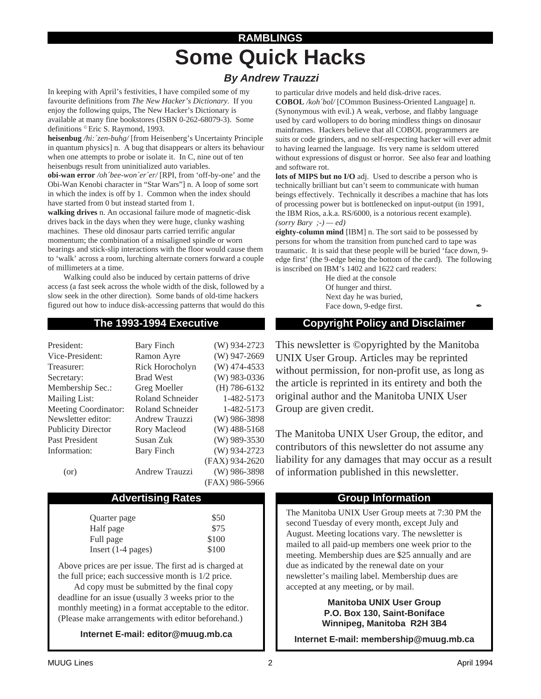## **RAMBLINGS Some Quick Hacks**

### **By Andrew Trauzzi**

In keeping with April's festivities, I have compiled some of my favourite definitions from *The New Hacker's Dictionary.* If you enjoy the following quips, The New Hacker's Dictionary is available at many fine bookstores (ISBN 0-262-68079-3). Some definitions © Eric S. Raymond, 1993.

**heisenbug** */hi:´zen-buhg/* [from Heisenberg's Uncertainty Principle in quantum physics] n. A bug that disappears or alters its behaviour when one attempts to probe or isolate it. In C, nine out of ten heisenbugs result from uninitialized auto variables.

**obi-wan error** */oh´bee-won`er´er/* [RPI, from 'off-by-one' and the Obi-Wan Kenobi character in "Star Wars"] n. A loop of some sort in which the index is off by 1. Common when the index should have started from 0 but instead started from 1.

**walking drives** n. An occasional failure mode of magnetic-disk drives back in the days when they were huge, clunky washing machines. These old dinosaur parts carried terrific angular momentum; the combination of a misaligned spindle or worn bearings and stick-slip interactions with the floor would cause them to 'walk' across a room, lurching alternate corners forward a couple of millimeters at a time.

Walking could also be induced by certain patterns of drive access (a fast seek across the whole width of the disk, followed by a slow seek in the other direction). Some bands of old-time hackers figured out how to induce disk-accessing patterns that would do this

| President:                  | <b>Bary Finch</b>     | $(W)$ 934-2723 |
|-----------------------------|-----------------------|----------------|
| Vice-President:             | Ramon Ayre            | $(W)$ 947-2669 |
| Treasurer:                  | Rick Horocholyn       | $(W)$ 474-4533 |
| Secretary:                  | <b>Brad West</b>      | $(W)$ 983-0336 |
| Membership Sec.:            | Greg Moeller          | $(H)$ 786-6132 |
| <b>Mailing List:</b>        | Roland Schneider      | 1-482-5173     |
| <b>Meeting Coordinator:</b> | Roland Schneider      | 1-482-5173     |
| Newsletter editor:          | Andrew Trauzzi        | $(W)$ 986-3898 |
| <b>Publicity Director</b>   | Rory Macleod          | $(W)$ 488-5168 |
| Past President              | Susan Zuk             | $(W)$ 989-3530 |
| Information:                | <b>Bary Finch</b>     | $(W)$ 934-2723 |
|                             |                       | (FAX) 934-2620 |
| (or)                        | <b>Andrew Trauzzi</b> | $(W)$ 986-3898 |
|                             |                       | (FAX) 986-5966 |

#### Advertising Rates **Group Information**

| Quarter page         | \$50  |
|----------------------|-------|
| Half page            | \$75  |
| Full page            | \$100 |
| Insert $(1-4$ pages) | \$100 |

Above prices are per issue. The first ad is charged at the full price; each successive month is 1/2 price.

Ad copy must be submitted by the final copy deadline for an issue (usually 3 weeks prior to the monthly meeting) in a format acceptable to the editor. (Please make arrangements with editor beforehand.)

**Internet E-mail: editor@muug.mb.ca**

to particular drive models and held disk-drive races. **COBOL** */koh´bol/* [COmmon Business-Oriented Language] n. (Synonymous with evil.) A weak, verbose, and flabby language used by card wollopers to do boring mindless things on dinosaur mainframes. Hackers believe that all COBOL programmers are suits or code grinders, and no self-respecting hacker will ever admit to having learned the language. Its very name is seldom uttered without expressions of disgust or horror. See also fear and loathing and software rot.

**lots of MIPS but no I/O** adj. Used to describe a person who is technically brilliant but can't seem to communicate with human beings effectively. Technically it describes a machine that has lots of processing power but is bottlenecked on input-output (in 1991, the IBM Rios, a.k.a. RS/6000, is a notorious recent example). *(sorry Bary ;-) — ed)*

**eighty-column mind** [IBM] n. The sort said to be possessed by persons for whom the transition from punched card to tape was traumatic. It is said that these people will be buried 'face down, 9 edge first' (the 9-edge being the bottom of the card). The following is inscribed on IBM's 1402 and 1622 card readers:

He died at the console Of hunger and thirst. Next day he was buried, Face down, 9-edge first.

#### **The 1993-1994 Executive Copyright Policy and Disclaimer**

This newsletter is ©opyrighted by the Manitoba UNIX User Group. Articles may be reprinted without permission, for non-profit use, as long as the article is reprinted in its entirety and both the original author and the Manitoba UNIX User Group are given credit.

The Manitoba UNIX User Group, the editor, and contributors of this newsletter do not assume any liability for any damages that may occur as a result of information published in this newsletter.

The Manitoba UNIX User Group meets at 7:30 PM the second Tuesday of every month, except July and August. Meeting locations vary. The newsletter is mailed to all paid-up members one week prior to the meeting. Membership dues are \$25 annually and are due as indicated by the renewal date on your newsletter's mailing label. Membership dues are accepted at any meeting, or by mail.

> **Manitoba UNIX User Group P.O. Box 130, Saint-Boniface Winnipeg, Manitoba R2H 3B4**

**Internet E-mail: membership@muug.mb.ca**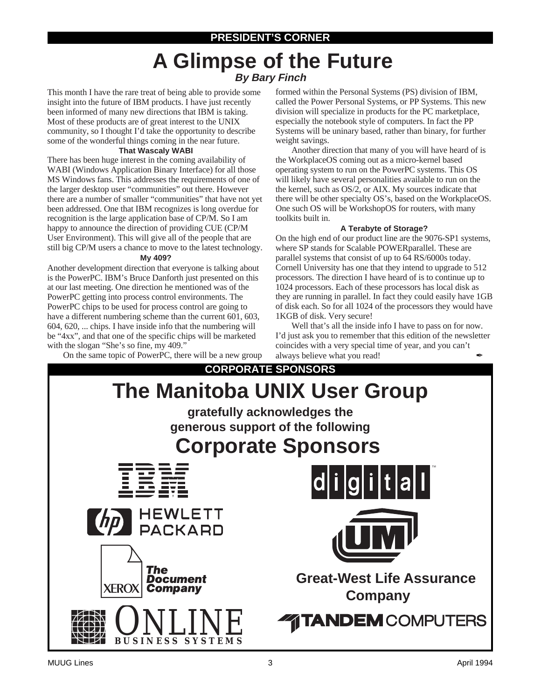### **A Glimpse of the Future By Bary Finch**

This month I have the rare treat of being able to provide some insight into the future of IBM products. I have just recently been informed of many new directions that IBM is taking. Most of these products are of great interest to the UNIX community, so I thought I'd take the opportunity to describe some of the wonderful things coming in the near future.

#### **That Wascaly WABI**

There has been huge interest in the coming availability of WABI (Windows Application Binary Interface) for all those MS Windows fans. This addresses the requirements of one of the larger desktop user "communities" out there. However there are a number of smaller "communities" that have not yet been addressed. One that IBM recognizes is long overdue for recognition is the large application base of CP/M. So I am happy to announce the direction of providing CUE (CP/M User Environment). This will give all of the people that are still big CP/M users a chance to move to the latest technology.

#### **My 409?**

Another development direction that everyone is talking about is the PowerPC. IBM's Bruce Danforth just presented on this at our last meeting. One direction he mentioned was of the PowerPC getting into process control environments. The PowerPC chips to be used for process control are going to have a different numbering scheme than the current 601, 603, 604, 620, ... chips. I have inside info that the numbering will be "4xx", and that one of the specific chips will be marketed with the slogan "She's so fine, my 409."

On the same topic of PowerPC, there will be a new group

formed within the Personal Systems (PS) division of IBM, called the Power Personal Systems, or PP Systems. This new division will specialize in products for the PC marketplace, especially the notebook style of computers. In fact the PP Systems will be uninary based, rather than binary, for further weight savings.

Another direction that many of you will have heard of is the WorkplaceOS coming out as a micro-kernel based operating system to run on the PowerPC systems. This OS will likely have several personalities available to run on the the kernel, such as OS/2, or AIX. My sources indicate that there will be other specialty OS's, based on the WorkplaceOS. One such OS will be WorkshopOS for routers, with many toolkits built in.

#### **A Terabyte of Storage?**

On the high end of our product line are the 9076-SP1 systems, where SP stands for Scalable POWERparallel. These are parallel systems that consist of up to 64 RS/6000s today. Cornell University has one that they intend to upgrade to 512 processors. The direction I have heard of is to continue up to 1024 processors. Each of these processors has local disk as they are running in parallel. In fact they could easily have 1GB of disk each. So for all 1024 of the processors they would have 1KGB of disk. Very secure!

Well that's all the inside info I have to pass on for now. I'd just ask you to remember that this edition of the newsletter coincides with a very special time of year, and you can't always believe what you read!

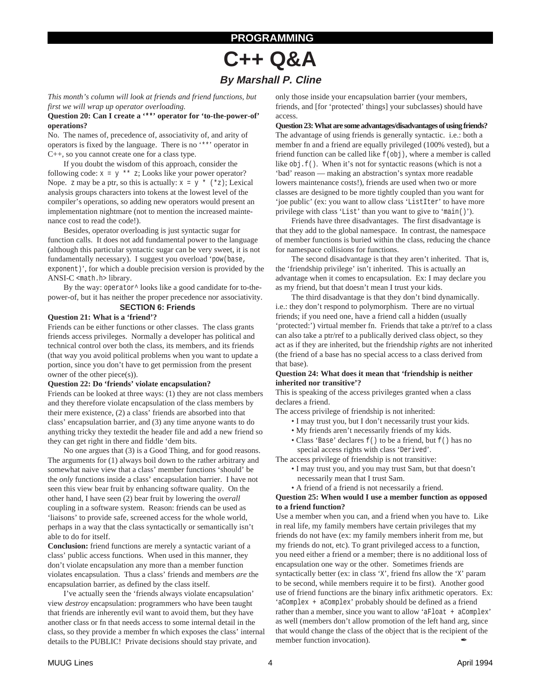#### **PROGRAMMING**

### **C++ Q&A By Marshall P. Cline**

#### *This month's column will look at friends and friend functions, but first we will wrap up operator overloading.*

#### **Question 20: Can I create a '\*\*' operator for 'to-the-power-of' operations?**

No. The names of, precedence of, associativity of, and arity of operators is fixed by the language. There is no '\*\*' operator in C++, so you cannot create one for a class type.

If you doubt the wisdom of this approach, consider the following code:  $x = y \cdot x$  z; Looks like your power operator? Nope. z may be a ptr, so this is actually:  $x = y * (*z)$ ; Lexical analysis groups characters into tokens at the lowest level of the compiler's operations, so adding new operators would present an implementation nightmare (not to mention the increased maintenance cost to read the code!).

Besides, operator overloading is just syntactic sugar for function calls. It does not add fundamental power to the language (although this particular syntactic sugar can be very sweet, it is not fundamentally necessary). I suggest you overload 'pow(base, exponent)', for which a double precision version is provided by the ANSI-C <math.h> library.

By the way: operator<sup> $\land$ </sup> looks like a good candidate for to-thepower-of, but it has neither the proper precedence nor associativity.

#### **SECTION 6: Friends**

#### **Question 21: What is a 'friend'?**

Friends can be either functions or other classes. The class grants friends access privileges. Normally a developer has political and technical control over both the class, its members, and its friends (that way you avoid political problems when you want to update a portion, since you don't have to get permission from the present owner of the other piece(s)).

#### **Question 22: Do 'friends' violate encapsulation?**

Friends can be looked at three ways: (1) they are not class members and they therefore violate encapsulation of the class members by their mere existence, (2) a class' friends are absorbed into that class' encapsulation barrier, and (3) any time anyone wants to do anything tricky they textedit the header file and add a new friend so they can get right in there and fiddle 'dem bits.

No one argues that (3) is a Good Thing, and for good reasons. The arguments for (1) always boil down to the rather arbitrary and somewhat naive view that a class' member functions 'should' be the *only* functions inside a class' encapsulation barrier. I have not seen this view bear fruit by enhancing software quality. On the other hand, I have seen (2) bear fruit by lowering the *overall* coupling in a software system. Reason: friends can be used as 'liaisons' to provide safe, screened access for the whole world, perhaps in a way that the class syntactically or semantically isn't able to do for itself.

**Conclusion:** friend functions are merely a syntactic variant of a class' public access functions. When used in this manner, they don't violate encapsulation any more than a member function violates encapsulation. Thus a class' friends and members *are* the encapsulation barrier, as defined by the class itself.

I've actually seen the 'friends always violate encapsulation' view *destroy* encapsulation: programmers who have been taught that friends are inherently evil want to avoid them, but they have another class or fn that needs access to some internal detail in the class, so they provide a member fn which exposes the class' internal details to the PUBLIC! Private decisions should stay private, and

only those inside your encapsulation barrier (your members, friends, and [for 'protected' things] your subclasses) should have access.

**Question 23: What are some advantages/disadvantages of using friends?** The advantage of using friends is generally syntactic. i.e.: both a member fn and a friend are equally privileged (100% vested), but a friend function can be called like f(obj), where a member is called like obj.f(). When it's not for syntactic reasons (which is not a 'bad' reason — making an abstraction's syntax more readable lowers maintenance costs!), friends are used when two or more classes are designed to be more tightly coupled than you want for 'joe public' (ex: you want to allow class 'ListIter' to have more privilege with class 'List' than you want to give to 'main()').

Friends have three disadvantages. The first disadvantage is that they add to the global namespace. In contrast, the namespace of member functions is buried within the class, reducing the chance for namespace collisions for functions.

The second disadvantage is that they aren't inherited. That is, the 'friendship privilege' isn't inherited. This is actually an advantage when it comes to encapsulation. Ex: I may declare you as my friend, but that doesn't mean I trust your kids.

The third disadvantage is that they don't bind dynamically. i.e.: they don't respond to polymorphism. There are no virtual friends; if you need one, have a friend call a hidden (usually 'protected:') virtual member fn. Friends that take a ptr/ref to a class can also take a ptr/ref to a publically derived class object, so they act as if they are inherited, but the friendship *rights* are not inherited (the friend of a base has no special access to a class derived from that base).

#### **Question 24: What does it mean that 'friendship is neither inherited nor transitive'?**

This is speaking of the access privileges granted when a class declares a friend.

- The access privilege of friendship is not inherited:
	- I may trust you, but I don't necessarily trust your kids.
	- My friends aren't necessarily friends of my kids.
	- Class 'Base' declares f() to be a friend, but f() has no special access rights with class 'Derived'.

The access privilege of friendship is not transitive:

- I may trust you, and you may trust Sam, but that doesn't necessarily mean that I trust Sam.
- A friend of a friend is not necessarily a friend.

#### **Question 25: When would I use a member function as opposed to a friend function?**

Use a member when you can, and a friend when you have to. Like in real life, my family members have certain privileges that my friends do not have (ex: my family members inherit from me, but my friends do not, etc). To grant privileged access to a function, you need either a friend or a member; there is no additional loss of encapsulation one way or the other. Sometimes friends are syntactically better (ex: in class 'X', friend fns allow the 'X' param to be second, while members require it to be first). Another good use of friend functions are the binary infix arithmetic operators. Ex: 'aComplex + aComplex' probably should be defined as a friend rather than a member, since you want to allow 'aFloat + aComplex' as well (members don't allow promotion of the left hand arg, since that would change the class of the object that is the recipient of the member function invocation).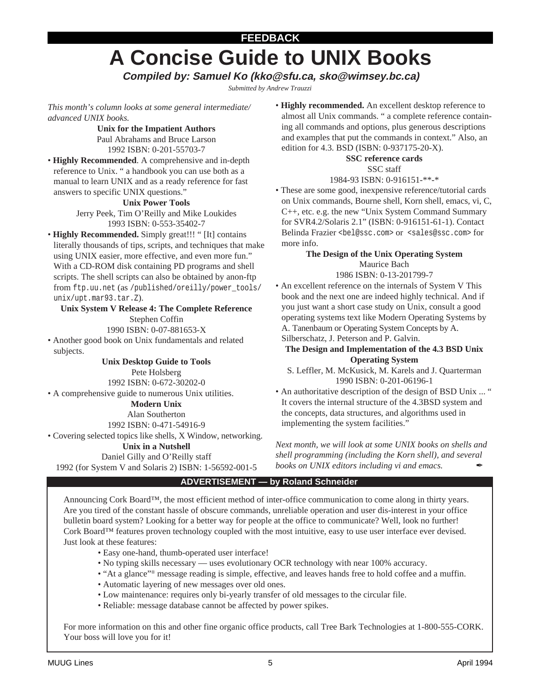## **FEEDBACK A Concise Guide to UNIX Books**

### **Compiled by: Samuel Ko (kko@sfu.ca, sko@wimsey.bc.ca)**

*Submitted by Andrew Trauzzi*

*This month's column looks at some general intermediate/ advanced UNIX books.*

> **Unix for the Impatient Authors** Paul Abrahams and Bruce Larson 1992 ISBN: 0-201-55703-7

• **Highly Recommended**. A comprehensive and in-depth reference to Unix. " a handbook you can use both as a manual to learn UNIX and as a ready reference for fast answers to specific UNIX questions."

#### **Unix Power Tools**

Jerry Peek, Tim O'Reilly and Mike Loukides 1993 ISBN: 0-553-35402-7

• **Highly Recommended.** Simply great!!! " [It] contains literally thousands of tips, scripts, and techniques that make using UNIX easier, more effective, and even more fun." With a CD-ROM disk containing PD programs and shell scripts. The shell scripts can also be obtained by anon-ftp from ftp.uu.net (as /published/oreilly/power\_tools/ unix/upt.mar93.tar.Z).

**Unix System V Release 4: The Complete Reference** Stephen Coffin 1990 ISBN: 0-07-881653-X

• Another good book on Unix fundamentals and related subjects.

**Unix Desktop Guide to Tools** Pete Holsberg 1992 ISBN: 0-672-30202-0 • A comprehensive guide to numerous Unix utilities.

#### **Modern Unix** Alan Southerton 1992 ISBN: 0-471-54916-9

• Covering selected topics like shells, X Window, networking.

#### **Unix in a Nutshell**

Daniel Gilly and O'Reilly staff 1992 (for System V and Solaris 2) ISBN: 1-56592-001-5 • **Highly recommended.** An excellent desktop reference to almost all Unix commands. " a complete reference containing all commands and options, plus generous descriptions and examples that put the commands in context." Also, an edition for 4.3. BSD (ISBN: 0-937175-20-X).

### **SSC reference cards**

#### SSC staff

#### 1984-93 ISBN: 0-916151-\*\*-\*

• These are some good, inexpensive reference/tutorial cards on Unix commands, Bourne shell, Korn shell, emacs, vi, C, C++, etc. e.g. the new "Unix System Command Summary for SVR4.2/Solaris 2.1" (ISBN: 0-916151-61-1). Contact Belinda Frazier <bel@ssc.com> or <sales@ssc.com> for more info.

#### **The Design of the Unix Operating System** Maurice Bach

#### 1986 ISBN: 0-13-201799-7

• An excellent reference on the internals of System V This book and the next one are indeed highly technical. And if you just want a short case study on Unix, consult a good operating systems text like Modern Operating Systems by A. Tanenbaum or Operating System Concepts by A. Silberschatz, J. Peterson and P. Galvin.

#### **The Design and Implementation of the 4.3 BSD Unix Operating System**

S. Leffler, M. McKusick, M. Karels and J. Quarterman 1990 ISBN: 0-201-06196-1

• An authoritative description of the design of BSD Unix ... " It covers the internal structure of the 4.3BSD system and the concepts, data structures, and algorithms used in implementing the system facilities."

*Next month, we will look at some UNIX books on shells and shell programming (including the Korn shell), and several books on UNIX editors including vi and emacs.* 

#### **ADVERTISEMENT — by Roland Schneider**

Announcing Cork Board™, the most efficient method of inter-office communication to come along in thirty years. Are you tired of the constant hassle of obscure commands, unreliable operation and user dis-interest in your office bulletin board system? Looking for a better way for people at the office to communicate? Well, look no further! Cork Board™ features proven technology coupled with the most intuitive, easy to use user interface ever devised. Just look at these features:

- Easy one-hand, thumb-operated user interface!
- No typing skills necessary uses evolutionary OCR technology with near 100% accuracy.
- "At a glance"<sup>®</sup> message reading is simple, effective, and leaves hands free to hold coffee and a muffin.
- Automatic layering of new messages over old ones.
- Low maintenance: requires only bi-yearly transfer of old messages to the circular file.
- Reliable: message database cannot be affected by power spikes.

For more information on this and other fine organic office products, call Tree Bark Technologies at 1-800-555-CORK. Your boss will love you for it!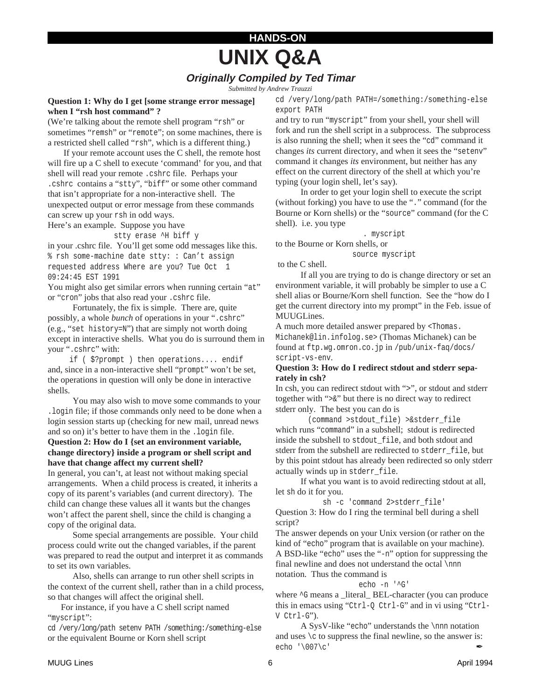### **HANDS-ON UNIX Q&A Originally Compiled by Ted Timar**

*Submitted by Andrew Trauzzi*

#### **Question 1: Why do I get [some strange error message] when I "rsh host command" ?**

(We're talking about the remote shell program "rsh" or sometimes "remsh" or "remote"; on some machines, there is a restricted shell called "rsh", which is a different thing.)

If your remote account uses the C shell, the remote host will fire up a C shell to execute 'command' for you, and that shell will read your remote .cshrc file. Perhaps your .cshrc contains a "stty", "biff" or some other command that isn't appropriate for a non-interactive shell. The unexpected output or error message from these commands can screw up your rsh in odd ways.

Here's an example. Suppose you have

stty erase ^H biff y

in your .cshrc file. You'll get some odd messages like this. % rsh some-machine date stty: : Can't assign requested address Where are you? Tue Oct 1 09:24:45 EST 1991

You might also get similar errors when running certain "at" or "cron" jobs that also read your .cshrc file.

Fortunately, the fix is simple. There are, quite possibly, a whole *bunch* of operations in your ".cshrc" (e.g., "set history=N") that are simply not worth doing except in interactive shells. What you do is surround them in your ".cshrc" with:

if ( \$?prompt ) then operations.... endif and, since in a non-interactive shell "prompt" won't be set, the operations in question will only be done in interactive shells.

You may also wish to move some commands to your .login file; if those commands only need to be done when a login session starts up (checking for new mail, unread news and so on) it's better to have them in the .login file. **Question 2: How do I {set an environment variable,**

#### **change directory} inside a program or shell script and have that change affect my current shell?**

In general, you can't, at least not without making special arrangements. When a child process is created, it inherits a copy of its parent's variables (and current directory). The child can change these values all it wants but the changes won't affect the parent shell, since the child is changing a copy of the original data.

Some special arrangements are possible. Your child process could write out the changed variables, if the parent was prepared to read the output and interpret it as commands to set its own variables.

Also, shells can arrange to run other shell scripts in the context of the current shell, rather than in a child process, so that changes will affect the original shell.

 For instance, if you have a C shell script named "myscript":

cd /very/long/path setenv PATH /something:/something-else or the equivalent Bourne or Korn shell script

cd /very/long/path PATH=/something:/something-else export PATH

and try to run "myscript" from your shell, your shell will fork and run the shell script in a subprocess. The subprocess is also running the shell; when it sees the "cd" command it changes *its* current directory, and when it sees the "setenv" command it changes *its* environment, but neither has any effect on the current directory of the shell at which you're typing (your login shell, let's say).

In order to get your login shell to execute the script (without forking) you have to use the "." command (for the Bourne or Korn shells) or the "source" command (for the C shell). i.e. you type

. myscript

to the Bourne or Korn shells, or

source myscript

to the C shell.

If all you are trying to do is change directory or set an environment variable, it will probably be simpler to use a C shell alias or Bourne/Korn shell function. See the "how do I get the current directory into my prompt" in the Feb. issue of MUUGLines.

A much more detailed answer prepared by <Thomas. Michanek@lin.infolog.se> (Thomas Michanek) can be found at ftp.wg.omron.co.jp in /pub/unix-faq/docs/ script-vs-env.

#### **Question 3: How do I redirect stdout and stderr separately in csh?**

In csh, you can redirect stdout with ">", or stdout and stderr together with ">&" but there is no direct way to redirect stderr only. The best you can do is

(command >stdout\_file) >&stderr\_file which runs "command" in a subshell; stdout is redirected inside the subshell to stdout\_file, and both stdout and stderr from the subshell are redirected to stderr\_file, but by this point stdout has already been redirected so only stderr actually winds up in stderr\_file.

If what you want is to avoid redirecting stdout at all, let sh do it for you.

sh -c 'command 2>stderr\_file'

Question 3: How do I ring the terminal bell during a shell script?

The answer depends on your Unix version (or rather on the kind of "echo" program that is available on your machine). A BSD-like "echo" uses the "-n" option for suppressing the final newline and does not understand the octal \nnn notation. Thus the command is

#### echo -n '^G'

where  $\textdegree$ G means a \_literal\_ BEL-character (you can produce this in emacs using "Ctrl-Q Ctrl-G" and in vi using "Ctrl-V Ctrl-G").

A SysV-like "echo" understands the \nnn notation and uses  $\c$  to suppress the final newline, so the answer is: echo '\007\c'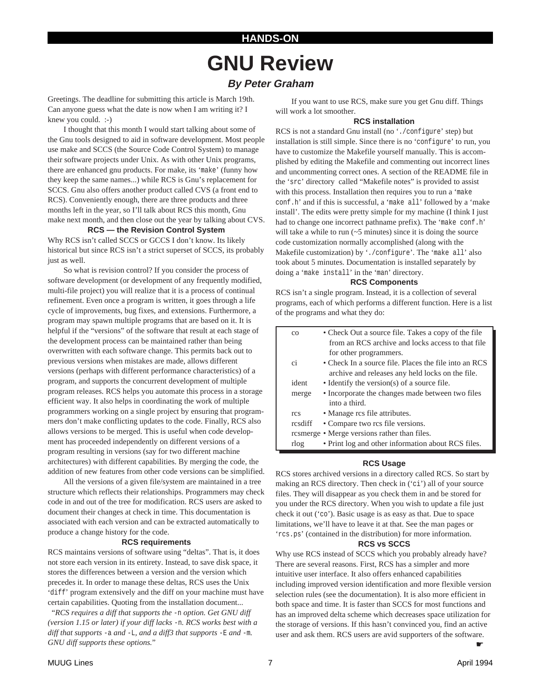## **GNU Review By Peter Graham**

Greetings. The deadline for submitting this article is March 19th. Can anyone guess what the date is now when I am writing it? I knew you could. :-)

I thought that this month I would start talking about some of the Gnu tools designed to aid in software development. Most people use make and SCCS (the Source Code Control System) to manage their software projects under Unix. As with other Unix programs, there are enhanced gnu products. For make, its 'make' (funny how they keep the same names...) while RCS is Gnu's replacement for SCCS. Gnu also offers another product called CVS (a front end to RCS). Conveniently enough, there are three products and three months left in the year, so I'll talk about RCS this month, Gnu make next month, and then close out the year by talking about CVS.

**RCS — the Revision Control System** Why RCS isn't called SCCS or GCCS I don't know. Its likely historical but since RCS isn't a strict superset of SCCS, its probably just as well.

So what is revision control? If you consider the process of software development (or development of any frequently modified, multi-file project) you will realize that it is a process of continual refinement. Even once a program is written, it goes through a life cycle of improvements, bug fixes, and extensions. Furthermore, a program may spawn multiple programs that are based on it. It is helpful if the "versions" of the software that result at each stage of the development process can be maintained rather than being overwritten with each software change. This permits back out to previous versions when mistakes are made, allows different versions (perhaps with different performance characteristics) of a program, and supports the concurrent development of multiple program releases. RCS helps you automate this process in a storage efficient way. It also helps in coordinating the work of multiple programmers working on a single project by ensuring that programmers don't make conflicting updates to the code. Finally, RCS also allows versions to be merged. This is useful when code development has proceeded independently on different versions of a program resulting in versions (say for two different machine architectures) with different capabilities. By merging the code, the addition of new features from other code versions can be simplified.

All the versions of a given file/system are maintained in a tree structure which reflects their relationships. Programmers may check code in and out of the tree for modification. RCS users are asked to document their changes at check in time. This documentation is associated with each version and can be extracted automatically to produce a change history for the code.

#### **RCS requirements**

RCS maintains versions of software using "deltas". That is, it does not store each version in its entirety. Instead, to save disk space, it stores the differences between a version and the version which precedes it. In order to manage these deltas, RCS uses the Unix 'diff' program extensively and the diff on your machine must have certain capabilities. Quoting from the installation document...

 "*RCS requires a diff that supports the* -n *option. Get GNU diff (version 1.15 or later) if your diff lacks* -n*. RCS works best with a diff that supports* -a *and* -L*, and a diff3 that supports* -E *and* -m*. GNU diff supports these options.*"

If you want to use RCS, make sure you get Gnu diff. Things will work a lot smoother.

#### **RCS installation**

RCS is not a standard Gnu install (no './configure' step) but installation is still simple. Since there is no 'configure' to run, you have to customize the Makefile yourself manually. This is accomplished by editing the Makefile and commenting out incorrect lines and uncommenting correct ones. A section of the README file in the 'src' directory called "Makefile notes" is provided to assist with this process. Installation then requires you to run a 'make conf.h' and if this is successful, a 'make all' followed by a 'make install'. The edits were pretty simple for my machine (I think I just had to change one incorrect pathname prefix). The 'make conf.h' will take a while to run  $(\sim 5 \text{ minutes})$  since it is doing the source code customization normally accomplished (along with the Makefile customization) by './configure'. The 'make all' also took about 5 minutes. Documentation is installed separately by doing a 'make install' in the 'man' directory.

#### **RCS Components**

RCS isn't a single program. Instead, it is a collection of several programs, each of which performs a different function. Here is a list of the programs and what they do:

| CO         | • Check Out a source file. Takes a copy of the file           |
|------------|---------------------------------------------------------------|
|            | from an RCS archive and locks access to that file             |
|            | for other programmers.                                        |
| ci         | $\bullet$ Check In a source file. Places the file into an RCS |
|            | archive and releases any held locks on the file.              |
| ident      | • Identify the version(s) of a source file.                   |
| merge      | • Incorporate the changes made between two files              |
|            | into a third.                                                 |
| <b>rcs</b> | • Manage rcs file attributes.                                 |
| rcsdiff    | • Compare two rcs file versions.                              |
|            | resmerge • Merge versions rather than files.                  |
| rlog       | • Print log and other information about RCS files.            |

#### **RCS Usage**

RCS stores archived versions in a directory called RCS. So start by making an RCS directory. Then check in ('ci') all of your source files. They will disappear as you check them in and be stored for you under the RCS directory. When you wish to update a file just check it out ('co'). Basic usage is as easy as that. Due to space limitations, we'll have to leave it at that. See the man pages or 'rcs.ps' (contained in the distribution) for more information.

#### **RCS vs SCCS**

Why use RCS instead of SCCS which you probably already have? There are several reasons. First, RCS has a simpler and more intuitive user interface. It also offers enhanced capabilities including improved version identification and more flexible version selection rules (see the documentation). It is also more efficient in both space and time. It is faster than SCCS for most functions and has an improved delta scheme which decreases space utilization for the storage of versions. If this hasn't convinced you, find an active user and ask them. RCS users are avid supporters of the software.

☛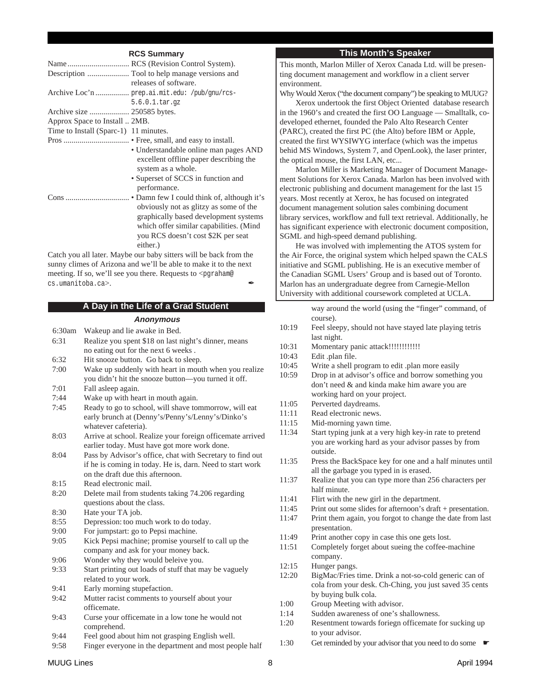#### **RCS Summary**

|                                       | Description  Tool to help manage versions and |
|---------------------------------------|-----------------------------------------------|
|                                       | releases of software.                         |
|                                       | Archive Loc'n  prep.ai.mit.edu: /pub/gnu/rcs- |
|                                       | $5.6.0.1.$ tar.gz                             |
|                                       |                                               |
| Approx Space to Install  2MB.         |                                               |
| Time to Install (Sparc-1) 11 minutes. |                                               |
|                                       |                                               |
|                                       | • Understandable online man pages AND         |
|                                       | excellent offline paper describing the        |
|                                       | system as a whole.                            |
|                                       | • Superset of SCCS in function and            |
|                                       | performance.                                  |
|                                       |                                               |
|                                       | obviously not as glitzy as some of the        |
|                                       | graphically based development systems         |
|                                       | which offer similar capabilities. (Mind       |
|                                       | you RCS doesn't cost \$2K per seat            |
|                                       | either.)                                      |

Catch you all later. Maybe our baby sitters will be back from the sunny climes of Arizona and we'll be able to make it to the next meeting. If so, we'll see you there. Requests to  $\leq$  pgraham@ cs.umanitoba.ca>.

#### **A Day in the Life of a Grad Student**

- **Anonymous** 6:30am Wakeup and lie awake in Bed. 6:31 Realize you spent \$18 on last night's dinner, means no eating out for the next 6 weeks . 6:32 Hit snooze button. Go back to sleep. 7:00 Wake up suddenly with heart in mouth when you realize you didn't hit the snooze button—you turned it off. 7:01 Fall asleep again. 7:44 Wake up with heart in mouth again. 7:45 Ready to go to school, will shave tommorrow, will eat early brunch at (Denny's/Penny's/Lenny's/Dinko's whatever cafeteria). 8:03 Arrive at school. Realize your foreign officemate arrived earlier today. Must have got more work done. 8:04 Pass by Advisor's office, chat with Secretary to find out if he is coming in today. He is, darn. Need to start work on the draft due this afternoon. 8:15 Read electronic mail. 8:20 Delete mail from students taking 74.206 regarding questions about the class. 8:30 Hate your TA job. 8:55 Depression: too much work to do today. 9:00 For jumpstart: go to Pepsi machine. 9:05 Kick Pepsi machine; promise yourself to call up the company and ask for your money back. 9:06 Wonder why they would beleive you. 9:33 Start printing out loads of stuff that may be vaguely related to your work. 9:41 Early morning stupefaction. 9:42 Mutter racist comments to yourself about your officemate. 9:43 Curse your officemate in a low tone he would not comprehend.
- 9:44 Feel good about him not grasping English well.
- 9:58 Finger everyone in the department and most people half

#### **This Month's Speaker**

This month, Marlon Miller of Xerox Canada Ltd. will be presenting document management and workflow in a client server environment.

Why Would Xerox ("the document company") be speaking to MUUG?

Xerox undertook the first Object Oriented database research in the 1960's and created the first OO Language — Smalltalk, codeveloped ethernet, founded the Palo Alto Research Center (PARC), created the first PC (the Alto) before IBM or Apple, created the first WYSIWYG interface (which was the impetus behid MS Windows, System 7, and OpenLook), the laser printer, the optical mouse, the first LAN, etc...

Marlon Miller is Marketing Manager of Document Management Solutions for Xerox Canada. Marlon has been involved with electronic publishing and document management for the last 15 years. Most recently at Xerox, he has focused on integrated document management solution sales combining document library services, workflow and full text retrieval. Additionally, he has significant experience with electronic document composition, SGML and high-speed demand publishing.

He was involved with implementing the ATOS system for the Air Force, the original system which helped spawn the CALS initiative and SGML publishing. He is an executive member of the Canadian SGML Users' Group and is based out of Toronto. Marlon has an undergraduate degree from Carnegie-Mellon University with additional coursework completed at UCLA.

> way around the world (using the "finger" command, of course).

- 10:19 Feel sleepy, should not have stayed late playing tetris last night.
- 10:31 Momentary panic attack!!!!!!!!!!!!
- 10:43 Edit .plan file.
- 10:45 Write a shell program to edit .plan more easily
- 10:59 Drop in at advisor's office and borrow something you don't need & and kinda make him aware you are working hard on your project.
- 11:05 Perverted daydreams.
- 11:11 Read electronic news.<br>11:15 Mid-morning vawn tin
- Mid-morning yawn time.
- 11:34 Start typing junk at a very high key-in rate to pretend you are working hard as your advisor passes by from outside.
- 11:35 Press the BackSpace key for one and a half minutes until all the garbage you typed in is erased.
- 11:37 Realize that you can type more than 256 characters per half minute.
- 11:41 Flirt with the new girl in the department.
- 11:45 Print out some slides for afternoon's draft + presentation.
- 11:47 Print them again, you forgot to change the date from last presentation.
- 11:49 Print another copy in case this one gets lost.
- 11:51 Completely forget about sueing the coffee-machine company.
- 12:15 Hunger pangs.
- 12:20 BigMac/Fries time. Drink a not-so-cold generic can of cola from your desk. Ch-Ching, you just saved 35 cents by buying bulk cola.
- 1:00 Group Meeting with advisor.
- 1:14 Sudden awareness of one's shallowness.
- 1:20 Resentment towards foriegn officemate for sucking up to your advisor.
- 1:30 Get reminded by your advisor that you need to do some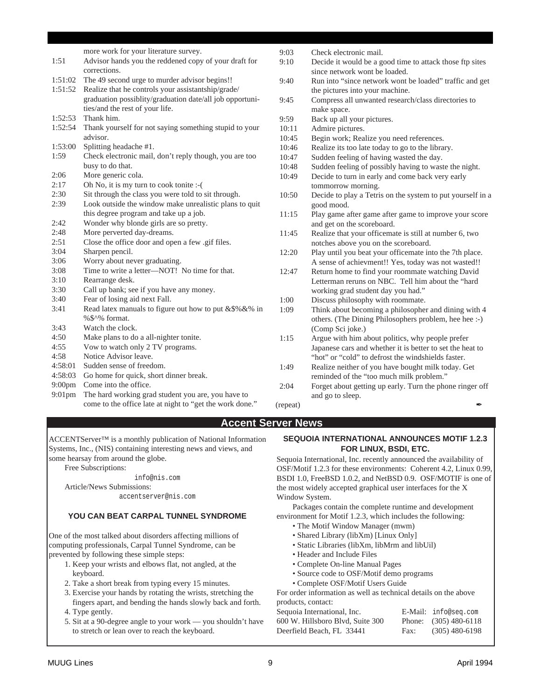|                    | more work for your literature survey.                                 | 9:03   |
|--------------------|-----------------------------------------------------------------------|--------|
| 1:51               | Advisor hands you the reddened copy of your draft for<br>corrections. | 9:10   |
| 1:51:02            | The 49 second urge to murder advisor begins!!                         | 9:40   |
| 1:51:52            | Realize that he controls your assistantship/grade/                    |        |
|                    | graduation possiblity/graduation date/all job opportuni-              | 9:45   |
|                    | ties/and the rest of your life.                                       |        |
| 1:52:53            | Thank him.                                                            | 9:59   |
| 1:52:54            | Thank yourself for not saying something stupid to your                | 10:11  |
|                    | advisor.                                                              | 10:45  |
| 1:53:00            | Splitting headache #1.                                                | 10:46  |
| 1:59               | Check electronic mail, don't reply though, you are too                | 10:47  |
|                    | busy to do that.                                                      | 10:48  |
| 2:06               | More generic cola.                                                    | 10:49  |
| 2:17               | Oh No, it is my turn to cook tonite :- (                              |        |
| 2:30               | Sit through the class you were told to sit through.                   | 10:50  |
| 2:39               | Look outside the window make unrealistic plans to quit                |        |
|                    | this degree program and take up a job.                                | 11:15  |
| 2:42               | Wonder why blonde girls are so pretty.                                |        |
| 2:48               | More perverted day-dreams.                                            | 11:45  |
| 2:51               | Close the office door and open a few .gif files.                      |        |
| 3:04               | Sharpen pencil.                                                       | 12:20  |
| 3:06               | Worry about never graduating.                                         |        |
| 3:08               | Time to write a letter-NOT! No time for that.                         | 12:47  |
| 3:10               | Rearrange desk.                                                       |        |
| 3:30               | Call up bank; see if you have any money.                              |        |
| 3:40               | Fear of losing aid next Fall.                                         | 1:00   |
| 3:41               | Read latex manuals to figure out how to put &\$% &% in                | 1:09   |
|                    | %\$^% format.                                                         |        |
| 3:43               | Watch the clock.                                                      |        |
| 4:50               | Make plans to do a all-nighter tonite.                                | 1:15   |
| 4:55               | Vow to watch only 2 TV programs.                                      |        |
| 4:58               | Notice Advisor leave.                                                 |        |
| 4:58:01            | Sudden sense of freedom.                                              | 1:49   |
| 4:58:03            | Go home for quick, short dinner break.                                |        |
| 9:00 <sub>pm</sub> | Come into the office.                                                 | 2:04   |
| $9:01$ pm          | The hard working grad student you are, you have to                    |        |
|                    | come to the office late at night to "get the work done."              | (repea |

Decide it would be a good time to attack those ftp sites since network wont be loaded. Run into "since network wont be loaded" traffic and get the pictures into your machine. Compress all unwanted research/class directories to make space. Back up all your pictures. Admire pictures. Begin work; Realize you need references.

Check electronic mail.

- 
- Realize its too late today to go to the library.
- Sudden feeling of having wasted the day.
- Sudden feeling of possibly having to waste the night.
- Decide to turn in early and come back very early tommorrow morning.
- Decide to play a Tetris on the system to put yourself in a good mood.
- Play game after game after game to improve your score and get on the scoreboard.
- Realize that your officemate is still at number 6, two notches above you on the scoreboard.
- Play until you beat your officemate into the 7th place. A sense of achievment!! Yes, today was not wasted!!
- Return home to find your roommate watching David Letterman reruns on NBC. Tell him about the "hard working grad student day you had."
- Discuss philosophy with roommate.
- Think about becoming a philosopher and dining with 4 others. (The Dining Philosophers problem, hee hee :-) (Comp Sci joke.)
- Argue with him about politics, why people prefer Japanese cars and whether it is better to set the heat to "hot" or "cold" to defrost the windshields faster.
- Realize neither of you have bought milk today. Get reminded of the "too much milk problem."
- Forget about getting up early. Turn the phone ringer off and go to sleep. (repeat)

#### **Accent Server News**

ACCENTServer™ is a monthly publication of National Information Systems, Inc., (NIS) containing interesting news and views, and some hearsay from around the globe.

Free Subscriptions:

info@nis.com

Article/News Submissions:

accentserver@nis.com

#### **YOU CAN BEAT CARPAL TUNNEL SYNDROME**

One of the most talked about disorders affecting millions of computing professionals, Carpal Tunnel Syndrome, can be prevented by following these simple steps:

- 1. Keep your wrists and elbows flat, not angled, at the keyboard.
- 2. Take a short break from typing every 15 minutes.
- 3. Exercise your hands by rotating the wrists, stretching the fingers apart, and bending the hands slowly back and forth. 4. Type gently.
- 5. Sit at a 90-degree angle to your work you shouldn't have to stretch or lean over to reach the keyboard.

#### **SEQUOIA INTERNATIONAL ANNOUNCES MOTIF 1.2.3 FOR LINUX, BSDI, ETC.**

Sequoia International, Inc. recently announced the availability of OSF/Motif 1.2.3 for these environments: Coherent 4.2, Linux 0.99, BSDI 1.0, FreeBSD 1.0.2, and NetBSD 0.9. OSF/MOTIF is one of the most widely accepted graphical user interfaces for the X Window System.

Packages contain the complete runtime and development environment for Motif 1.2.3, which includes the following:

- The Motif Window Manager (mwm)
- Shared Library (libXm) [Linux Only]
- Static Libraries (libXm, libMrm and libUil)
- Header and Include Files
- Complete On-line Manual Pages
- Source code to OSF/Motif demo programs
- Complete OSF/Motif Users Guide

For order information as well as technical details on the above products, contact:

| Sequoia International, Inc.      |      | E-Mail: info@seq.com    |
|----------------------------------|------|-------------------------|
| 600 W. Hillsboro Blvd, Suite 300 |      | Phone: $(305)$ 480-6118 |
| Deerfield Beach, FL 33441        | Fax: | $(305)$ 480-6198        |